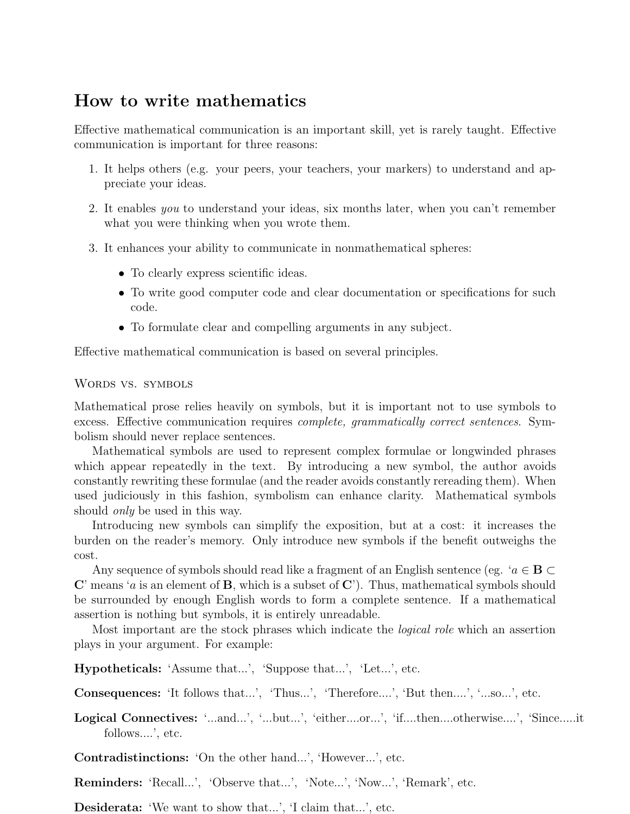# How to write mathematics

Effective mathematical communication is an important skill, yet is rarely taught. Effective communication is important for three reasons:

- 1. It helps others (e.g. your peers, your teachers, your markers) to understand and appreciate your ideas.
- 2. It enables *you* to understand your ideas, six months later, when you can't remember what you were thinking when you wrote them.
- 3. It enhances your ability to communicate in nonmathematical spheres:
	- To clearly express scientific ideas.
	- To write good computer code and clear documentation or specifications for such code.
	- *•* To formulate clear and compelling arguments in any subject.

Effective mathematical communication is based on several principles.

### Words vs. symbols

Mathematical prose relies heavily on symbols, but it is important not to use symbols to excess. Effective communication requires *complete, grammatically correct sentences*. Symbolism should never replace sentences.

Mathematical symbols are used to represent complex formulae or longwinded phrases which appear repeatedly in the text. By introducing a new symbol, the author avoids constantly rewriting these formulae (and the reader avoids constantly rereading them). When used judiciously in this fashion, symbolism can enhance clarity. Mathematical symbols should *only* be used in this way.

Introducing new symbols can simplify the exposition, but at a cost: it increases the burden on the reader's memory. Only introduce new symbols if the benefit outweighs the cost.

Any sequence of symbols should read like a fragment of an English sentence (eg. '*a ∈* B *⊂* C' means '*a* is an element of B, which is a subset of C'). Thus, mathematical symbols should be surrounded by enough English words to form a complete sentence. If a mathematical assertion is nothing but symbols, it is entirely unreadable.

Most important are the stock phrases which indicate the *logical role* which an assertion plays in your argument. For example:

Hypotheticals: 'Assume that...', 'Suppose that...', 'Let...', etc.

Consequences: 'It follows that...', 'Thus...', 'Therefore....', 'But then....', '...so...', etc.

Logical Connectives: '...and...', '...but...', 'either....or...', 'if....then....otherwise....', 'Since.....it follows....', etc.

Contradistinctions: 'On the other hand...', 'However...', etc.

Reminders: 'Recall...', 'Observe that...', 'Note...', 'Now...', 'Remark', etc.

Desiderata: 'We want to show that...', 'I claim that...', etc.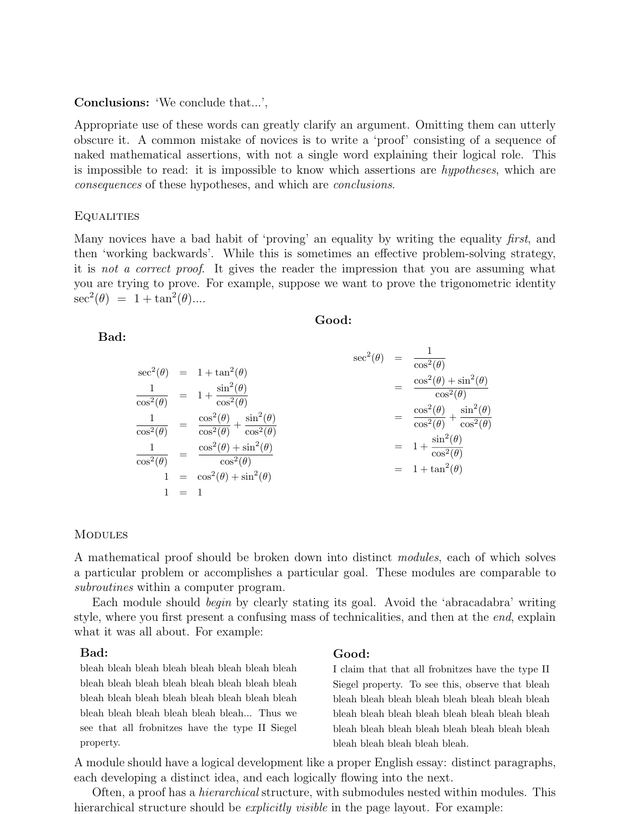### Conclusions: 'We conclude that...',

Appropriate use of these words can greatly clarify an argument. Omitting them can utterly obscure it. A common mistake of novices is to write a 'proof' consisting of a sequence of naked mathematical assertions, with not a single word explaining their logical role. This is impossible to read: it is impossible to know which assertions are *hypotheses*, which are *consequences* of these hypotheses, and which are *conclusions*.

### **EQUALITIES**

Many novices have a bad habit of 'proving' an equality by writing the equality *first*, and then 'working backwards'. While this is sometimes an effective problem-solving strategy, it is *not a correct proof*. It gives the reader the impression that you are assuming what you are trying to prove. For example, suppose we want to prove the trigonometric identity  $\sec^2(\theta) = 1 + \tan^2(\theta)....$ 

### Good:

### $\sec^2(\theta) = 1 + \tan^2(\theta)$ 1  $\frac{1}{\cos^2(\theta)}$  =  $1 + \frac{\sin^2(\theta)}{\cos^2(\theta)}$  $\cos^2(\theta)$ 1  $\frac{1}{\cos^2(\theta)} = \frac{\cos^2(\theta)}{\cos^2(\theta)}$  $\frac{\cos^2(\theta)}{\cos^2(\theta)} + \frac{\sin^2(\theta)}{\cos^2(\theta)}$  $\cos^2(\theta)$ 1  $\frac{1}{\cos^2(\theta)}$  =  $\frac{\cos^2(\theta) + \sin^2(\theta)}{\cos^2(\theta)}$  $\cos^2(\theta)$ 1 =  $\cos^2(\theta) + \sin^2(\theta)$  $1 = 1$  $\sec^2(\theta) = \frac{1}{\cos^2(\theta)}$  $=\frac{\cos^2(\theta) + \sin^2(\theta)}{2(0)}$  $\cos^2(\theta)$  $=\frac{\cos^2(\theta)}{2(0)}$  $\frac{\cos^2(\theta)}{\cos^2(\theta)} + \frac{\sin^2(\theta)}{\cos^2(\theta)}$  $\cos^2(\theta)$  $= 1 + \frac{\sin^2(\theta)}{2\theta}$  $\cos^2(\theta)$  $= 1 + \tan^2(\theta)$

### **MODULES**

A mathematical proof should be broken down into distinct *modules*, each of which solves a particular problem or accomplishes a particular goal. These modules are comparable to *subroutines* within a computer program.

Each module should *begin* by clearly stating its goal. Avoid the 'abracadabra' writing style, where you first present a confusing mass of technicalities, and then at the *end*, explain what it was all about. For example:

### Bad:

bleah bleah bleah bleah bleah bleah bleah bleah bleah bleah bleah bleah bleah bleah bleah bleah bleah bleah bleah bleah bleah bleah bleah bleah bleah bleah bleah bleah bleah bleah... Thus we see that all frobnitzes have the type II Siegel property.

### Good:

I claim that that all frobnitzes have the type II Siegel property. To see this, observe that bleah bleah bleah bleah bleah bleah bleah bleah bleah bleah bleah bleah bleah bleah bleah bleah bleah bleah bleah bleah bleah bleah bleah bleah bleah bleah bleah bleah bleah bleah.

A module should have a logical development like a proper English essay: distinct paragraphs, each developing a distinct idea, and each logically flowing into the next.

Often, a proof has a *hierarchical* structure, with submodules nested within modules. This hierarchical structure should be *explicitly visible* in the page layout. For example:

Bad: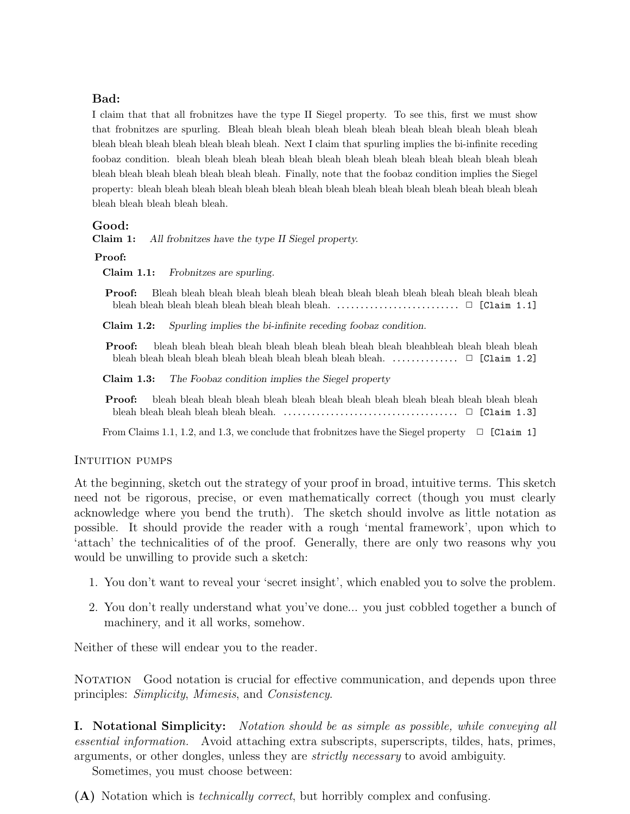## Bad:

I claim that that all frobnitzes have the type II Siegel property. To see this, first we must show that frobnitzes are spurling. Bleah bleah bleah bleah bleah bleah bleah bleah bleah bleah bleah bleah bleah bleah bleah bleah bleah bleah. Next I claim that spurling implies the bi-infinite receding foobaz condition. bleah bleah bleah bleah bleah bleah bleah bleah bleah bleah bleah bleah bleah bleah bleah bleah bleah bleah bleah bleah. Finally, note that the foobaz condition implies the Siegel property: bleah bleah bleah bleah bleah bleah bleah bleah bleah bleah bleah bleah bleah bleah bleah bleah bleah bleah bleah bleah.

### Good:

Claim 1: *All frobnitzes have the type II Siegel property.*

### Proof:

Claim 1.1: *Frobnitzes are spurling.*

Proof: Bleah bleah bleah bleah bleah bleah bleah bleah bleah bleah bleah bleah bleah bleah bleah bleah bleah bleah bleah bleah bleah bleah. .......................... *✷* [Claim 1.1]

Claim 1.2: *Spurling implies the bi-infinite receding foobaz condition.*

Proof: bleah bleah bleah bleah bleah bleah bleah bleah bleah bleahbleah bleah bleah bleah bleah bleah bleah bleah bleah bleah bleah bleah bleah bleah. .............. *✷* [Claim 1.2]

Claim 1.3: *The Foobaz condition implies the Siegel property*

Proof: bleah bleah bleah bleah bleah bleah bleah bleah bleah bleah bleah bleah bleah bleah bleah bleah bleah bleah bleah bleah. ..................................... *✷* [Claim 1.3]

From Claims 1.1, 1.2, and 1.3, we conclude that frobnitzes have the Siegel property  $\Box$  [Claim 1]

### Intuition pumps

At the beginning, sketch out the strategy of your proof in broad, intuitive terms. This sketch need not be rigorous, precise, or even mathematically correct (though you must clearly acknowledge where you bend the truth). The sketch should involve as little notation as possible. It should provide the reader with a rough 'mental framework', upon which to 'attach' the technicalities of of the proof. Generally, there are only two reasons why you would be unwilling to provide such a sketch:

- 1. You don't want to reveal your 'secret insight', which enabled you to solve the problem.
- 2. You don't really understand what you've done... you just cobbled together a bunch of machinery, and it all works, somehow.

Neither of these will endear you to the reader.

NOTATION Good notation is crucial for effective communication, and depends upon three principles: *Simplicity*, *Mimesis*, and *Consistency*.

I. Notational Simplicity: *Notation should be as simple as possible, while conveying all essential information.* Avoid attaching extra subscripts, superscripts, tildes, hats, primes, arguments, or other dongles, unless they are *strictly necessary* to avoid ambiguity.

Sometimes, you must choose between:

(A) Notation which is *technically correct*, but horribly complex and confusing.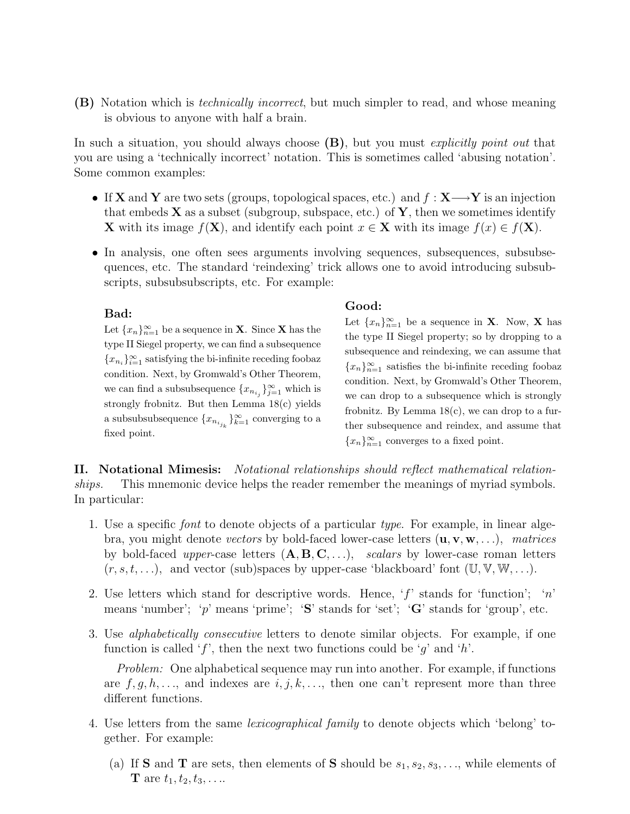(B) Notation which is *technically incorrect*, but much simpler to read, and whose meaning is obvious to anyone with half a brain.

In such a situation, you should always choose (B), but you must *explicitly point out* that you are using a 'technically incorrect' notation. This is sometimes called 'abusing notation'. Some common examples:

- *•* If X and Y are two sets (groups, topological spaces, etc.) and *f* : X*−→*Y is an injection that embeds  $X$  as a subset (subgroup, subspace, etc.) of  $Y$ , then we sometimes identify X with its image  $f(X)$ , and identify each point  $x \in X$  with its image  $f(x) \in f(X)$ .
- In analysis, one often sees arguments involving sequences, subsequences, subsubsequences, etc. The standard 'reindexing' trick allows one to avoid introducing subsubscripts, subsubsubscripts, etc. For example:

### Bad:

Let  ${x_n}_{n=1}^{\infty}$  be a sequence in **X**. Since **X** has the type II Siegel property, we can find a subsequence  ${x_{n_i}}_{i=1}^{\infty}$  satisfying the bi-infinite receding foobaz condition. Next, by Gromwald's Other Theorem, we can find a subsubsequence  $\{x_{n_{i_j}}\}_{j=1}^{\infty}$  which is strongly frobnitz. But then Lemma 18(c) yields a subsubsubsequence  $\{x_{n_{i_{j_k}}}\}_{k=1}^{\infty}$  converging to a fixed point.

### Good:

Let  ${x_n}_{n=1}^{\infty}$  be a sequence in **X**. Now, **X** has the type II Siegel property; so by dropping to a subsequence and reindexing, we can assume that  ${x_n}_{n=1}^{\infty}$  satisfies the bi-infinite receding foobaz condition. Next, by Gromwald's Other Theorem, we can drop to a subsequence which is strongly frobnitz. By Lemma  $18(c)$ , we can drop to a further subsequence and reindex, and assume that  ${x_n}_{n=1}^{\infty}$  converges to a fixed point.

II. Notational Mimesis: *Notational relationships should reflect mathematical relationships.* This mnemonic device helps the reader remember the meanings of myriad symbols. In particular:

- 1. Use a specific *font* to denote objects of a particular *type*. For example, in linear algebra, you might denote *vectors* by bold-faced lower-case letters (u*,* v*,* w*, . . .*), *matrices* by bold-faced *upper*-case letters (A*,* B*,* C*, . . .*), *scalars* by lower-case roman letters  $(r, s, t, \ldots)$ , and vector (sub)spaces by upper-case 'blackboard' font  $(\mathbb{U}, \mathbb{V}, \mathbb{W}, \ldots)$ .
- 2. Use letters which stand for descriptive words. Hence, '*f*' stands for 'function'; '*n*' means 'number'; 'p' means 'prime'; 'S' stands for 'set'; 'G' stands for 'group', etc.
- 3. Use *alphabetically consecutive* letters to denote similar objects. For example, if one function is called '*f*', then the next two functions could be '*g*' and '*h*'.

*Problem:* One alphabetical sequence may run into another. For example, if functions are  $f, g, h, \ldots$ , and indexes are  $i, j, k, \ldots$ , then one can't represent more than three different functions.

- 4. Use letters from the same *lexicographical family* to denote objects which 'belong' together. For example:
	- (a) If **S** and **T** are sets, then elements of **S** should be  $s_1, s_2, s_3, \ldots$ , while elements of **T** are  $t_1, t_2, t_3, \ldots$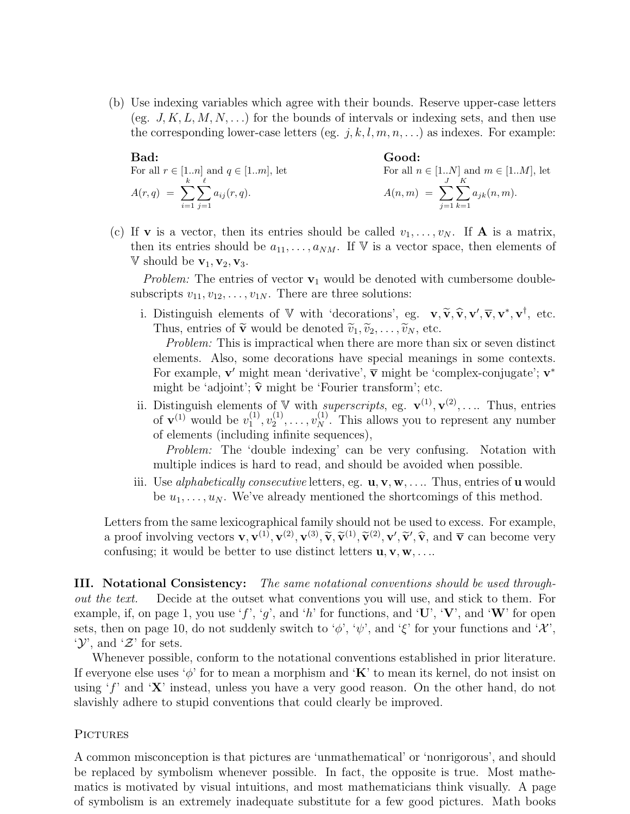(b) Use indexing variables which agree with their bounds. Reserve upper-case letters (eg.  $J, K, L, M, N, \ldots$ ) for the bounds of intervals or indexing sets, and then use the corresponding lower-case letters (eg.  $j, k, l, m, n, \ldots$ ) as indexes. For example:

**Bad:**  
\nFor all 
$$
r \in [1..n]
$$
 and  $q \in [1..m]$ , let  
\n
$$
A(r,q) = \sum_{i=1}^{k} \sum_{j=1}^{\ell} a_{ij}(r,q).
$$
\n**Good:**  
\nFor all  $n \in [1..N]$  and  $m \in [1..M]$ , let  
\n
$$
A(n,m) = \sum_{j=1}^{J} \sum_{k=1}^{K} a_{jk}(n,m).
$$

(c) If **v** is a vector, then its entries should be called  $v_1, \ldots, v_N$ . If **A** is a matrix, then its entries should be  $a_{11}, \ldots, a_{NM}$ . If V is a vector space, then elements of  $V$  should be  $v_1, v_2, v_3$ .

*Problem:* The entries of vector  $v_1$  would be denoted with cumbersome doublesubscripts  $v_{11}, v_{12}, \ldots, v_{1N}$ . There are three solutions:

i. Distinguish elements of  $V$  with 'decorations', eg.  $\mathbf{v}, \widetilde{\mathbf{v}}, \widehat{\mathbf{v}}, \mathbf{v}', \overline{\mathbf{v}}, \mathbf{v}^*, \mathbf{v}^{\dagger}$ , etc.<br>Thus ontries of  $\widetilde{\mathbf{v}}$  would be denoted  $\widetilde{\mathbf{v}}_k$ .  $\widetilde{\mathbf{v}}_k$  atc. Thus, entries of  $\tilde{\mathbf{v}}$  would be denoted  $\tilde{v}_1, \tilde{v}_2, \ldots, \tilde{v}_N$ , etc.

*Problem:* This is impractical when there are more than six or seven distinct elements. Also, some decorations have special meanings in some contexts. For example, **v'** might mean 'derivative',  $\bar{v}$  might be 'complex-conjugate'; **v**<sup>\*</sup> might be 'adjoint';  $\hat{\mathbf{v}}$  might be 'Fourier transform'; etc.

ii. Distinguish elements of V with *superscripts*, eg.  $\mathbf{v}^{(1)}, \mathbf{v}^{(2)}, \ldots$  Thus, entries of  $\mathbf{v}^{(1)}$  would be  $v_1^{(1)}$  $\binom{1}{1}, \upsilon_2^{(1)}$  $v_2^{(1)}, \ldots, v_N^{(1)}$ . This allows you to represent any number of elements (including infinite sequences),

*Problem:* The 'double indexing' can be very confusing. Notation with multiple indices is hard to read, and should be avoided when possible.

iii. Use *alphabetically consecutive* letters, eg. **u**, **v**, **w**, .... Thus, entries of **u** would be  $u_1, \ldots, u_N$ . We've already mentioned the shortcomings of this method.

Letters from the same lexicographical family should not be used to excess. For example, a proof involving vectors  $\mathbf{v}, \mathbf{v}^{(1)}, \mathbf{v}^{(2)}, \mathbf{v}^{(3)}, \widetilde{\mathbf{v}}, \widetilde{\mathbf{v}}^{(1)}, \widetilde{\mathbf{v}}^{(2)}, \mathbf{v}', \widetilde{\mathbf{v}}', \widehat{\mathbf{v}},$  and  $\overline{\mathbf{v}}$  can become very confusing; it would be better to use distinct letters **u**, confusing; it would be better to use distinct letters  $\mathbf{u}, \mathbf{v}, \mathbf{w}, \ldots$ 

III. Notational Consistency: *The same notational conventions should be used throughout the text.* Decide at the outset what conventions you will use, and stick to them. For example, if, on page 1, you use  $f'$ ,  $g'$ , and  $'h'$  for functions, and  $'U'$ ,  $'V'$ , and  $'W'$  for open sets, then on page 10, do not suddenly switch to ' $\phi'$ , ' $\psi'$ , and ' $\xi'$ ' for your functions and ' $\mathcal{X}'$ ', '*Y*', and '*Z*' for sets.

Whenever possible, conform to the notational conventions established in prior literature. If everyone else uses ' $\phi$ ' for to mean a morphism and 'K' to mean its kernel, do not insist on using '*f*' and 'X' instead, unless you have a very good reason. On the other hand, do not slavishly adhere to stupid conventions that could clearly be improved.

### PICTURES

A common misconception is that pictures are 'unmathematical' or 'nonrigorous', and should be replaced by symbolism whenever possible. In fact, the opposite is true. Most mathematics is motivated by visual intuitions, and most mathematicians think visually. A page of symbolism is an extremely inadequate substitute for a few good pictures. Math books